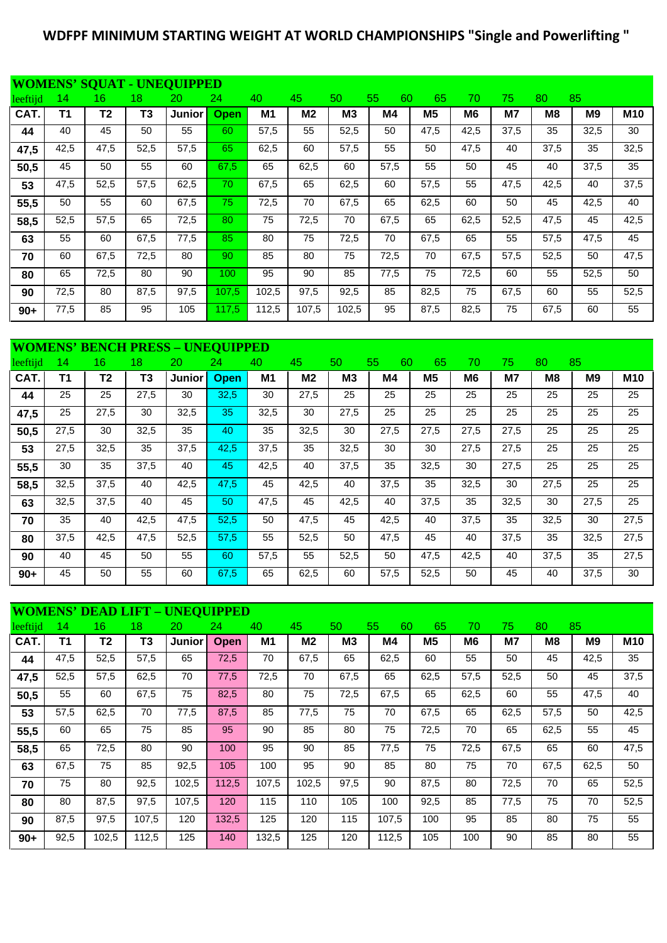## **WDFPF MINIMUM STARTING WEIGHT AT WORLD CHAMPIONSHIPS "Single and Powerlifting "**

|          |      |                 |      | <b>WOMENS' SQUAT - UNEQUIPPED</b> |                  |                |                |       |          |                |      |      |                |      |            |
|----------|------|-----------------|------|-----------------------------------|------------------|----------------|----------------|-------|----------|----------------|------|------|----------------|------|------------|
| leeftijd | 14   | 16 <sup>1</sup> | 18   | 20                                | 24               | 40             | 45             | 50    | 55<br>60 | 65             | 70   | 75   | 80             | 85   |            |
| CAT.     | Τ1   | Τ2              | T3   | Junior                            | <b>Open</b>      | M <sub>1</sub> | M <sub>2</sub> | MЗ    | M4       | M <sub>5</sub> | M6   | M7   | M <sub>8</sub> | M9   | <b>M10</b> |
| 44       | 40   | 45              | 50   | 55                                | 60               | 57,5           | 55             | 52,5  | 50       | 47,5           | 42,5 | 37,5 | 35             | 32,5 | 30         |
| 47,5     | 42,5 | 47,5            | 52,5 | 57,5                              | 65               | 62,5           | 60             | 57,5  | 55       | 50             | 47,5 | 40   | 37,5           | 35   | 32,5       |
| 50,5     | 45   | 50              | 55   | 60                                | 67,5             | 65             | 62,5           | 60    | 57,5     | 55             | 50   | 45   | 40             | 37,5 | 35         |
| 53       | 47,5 | 52,5            | 57,5 | 62,5                              | 70               | 67,5           | 65             | 62,5  | 60       | 57,5           | 55   | 47,5 | 42,5           | 40   | 37,5       |
| 55,5     | 50   | 55              | 60   | 67,5                              | 75               | 72,5           | 70             | 67,5  | 65       | 62,5           | 60   | 50   | 45             | 42,5 | 40         |
| 58,5     | 52,5 | 57,5            | 65   | 72,5                              | 80               | 75             | 72,5           | 70    | 67,5     | 65             | 62,5 | 52,5 | 47,5           | 45   | 42,5       |
| 63       | 55   | 60              | 67,5 | 77,5                              | 85               | 80             | 75             | 72,5  | 70       | 67,5           | 65   | 55   | 57,5           | 47,5 | 45         |
| 70       | 60   | 67,5            | 72,5 | 80                                | 90               | 85             | 80             | 75    | 72,5     | 70             | 67,5 | 57,5 | 52,5           | 50   | 47,5       |
| 80       | 65   | 72,5            | 80   | 90                                | 100 <sub>1</sub> | 95             | 90             | 85    | 77,5     | 75             | 72,5 | 60   | 55             | 52,5 | 50         |
| 90       | 72,5 | 80              | 87,5 | 97,5                              | 107,5            | 102,5          | 97,5           | 92,5  | 85       | 82,5           | 75   | 67,5 | 60             | 55   | 52,5       |
| $90+$    | 77,5 | 85              | 95   | 105                               | 117,5            | 112,5          | 107,5          | 102,5 | 95       | 87,5           | 82,5 | 75   | 67,5           | 60   | 55         |

|          | <b>WOMENS' BENCH PRESS - UNEQUIPPED</b> |                |      |        |             |      |                |      |          |                |      |      |      |      |            |
|----------|-----------------------------------------|----------------|------|--------|-------------|------|----------------|------|----------|----------------|------|------|------|------|------------|
| leeftijd | 14                                      | 16             | 18   | 20     | 24          | 40   | 45             | 50   | 55<br>60 | 65             | 70   | 75.  | 80   | 85   |            |
| CAT.     | Τ1                                      | T <sub>2</sub> | T3   | Junior | <b>Open</b> | M1   | M <sub>2</sub> | MЗ   | M4       | M <sub>5</sub> | M6   | M7   | M8   | M9   | <b>M10</b> |
| 44       | 25                                      | 25             | 27,5 | 30     | 32,5        | 30   | 27,5           | 25   | 25       | 25             | 25   | 25   | 25   | 25   | 25         |
| 47,5     | 25                                      | 27,5           | 30   | 32,5   | 35          | 32,5 | 30             | 27,5 | 25       | 25             | 25   | 25   | 25   | 25   | 25         |
| 50,5     | 27,5                                    | 30             | 32,5 | 35     | 40          | 35   | 32,5           | 30   | 27,5     | 27,5           | 27,5 | 27,5 | 25   | 25   | 25         |
| 53       | 27,5                                    | 32,5           | 35   | 37,5   | 42,5        | 37,5 | 35             | 32,5 | 30       | 30             | 27,5 | 27,5 | 25   | 25   | 25         |
| 55,5     | 30                                      | 35             | 37,5 | 40     | 45          | 42,5 | 40             | 37,5 | 35       | 32,5           | 30   | 27,5 | 25   | 25   | 25         |
| 58,5     | 32,5                                    | 37,5           | 40   | 42,5   | 47,5        | 45   | 42,5           | 40   | 37,5     | 35             | 32,5 | 30   | 27,5 | 25   | 25         |
| 63       | 32,5                                    | 37,5           | 40   | 45     | 50          | 47,5 | 45             | 42,5 | 40       | 37,5           | 35   | 32,5 | 30   | 27,5 | 25         |
| 70       | 35                                      | 40             | 42,5 | 47,5   | 52,5        | 50   | 47,5           | 45   | 42,5     | 40             | 37,5 | 35   | 32,5 | 30   | 27,5       |
| 80       | 37,5                                    | 42,5           | 47,5 | 52,5   | 57,5        | 55   | 52,5           | 50   | 47,5     | 45             | 40   | 37,5 | 35   | 32,5 | 27,5       |
| 90       | 40                                      | 45             | 50   | 55     | 60          | 57,5 | 55             | 52,5 | 50       | 47,5           | 42,5 | 40   | 37,5 | 35   | 27,5       |
| $90+$    | 45                                      | 50             | 55   | 60     | 67,5        | 65   | 62,5           | 60   | 57,5     | 52,5           | 50   | 45   | 40   | 37,5 | 30         |

|          |      |                |                | <b>WOMENS' DEAD LIFT - UNEQUIPPED</b> |       |       |                |                |          |      |                |      |                |                |            |
|----------|------|----------------|----------------|---------------------------------------|-------|-------|----------------|----------------|----------|------|----------------|------|----------------|----------------|------------|
| leeftijd | 14   | 16             | 18             | 20                                    | 24    | 40    | 45             | 50             | 55<br>60 | 65   | 70             | 75.  | 80             | 85             |            |
| CAT.     | T1   | T <sub>2</sub> | T <sub>3</sub> | <b>Junior</b>                         | Open  | M1    | M <sub>2</sub> | M <sub>3</sub> | M4       | M5   | M <sub>6</sub> | M7   | M <sub>8</sub> | M <sub>9</sub> | <b>M10</b> |
| 44       | 47,5 | 52,5           | 57,5           | 65                                    | 72,5  | 70    | 67,5           | 65             | 62,5     | 60   | 55             | 50   | 45             | 42,5           | 35         |
| 47,5     | 52,5 | 57,5           | 62,5           | 70                                    | 77,5  | 72,5  | 70             | 67,5           | 65       | 62,5 | 57,5           | 52,5 | 50             | 45             | 37,5       |
| 50,5     | 55   | 60             | 67,5           | 75                                    | 82,5  | 80    | 75             | 72,5           | 67,5     | 65   | 62,5           | 60   | 55             | 47,5           | 40         |
| 53       | 57,5 | 62,5           | 70             | 77,5                                  | 87,5  | 85    | 77,5           | 75             | 70       | 67,5 | 65             | 62,5 | 57,5           | 50             | 42,5       |
| 55,5     | 60   | 65             | 75             | 85                                    | 95    | 90    | 85             | 80             | 75       | 72,5 | 70             | 65   | 62,5           | 55             | 45         |
| 58,5     | 65   | 72,5           | 80             | 90                                    | 100   | 95    | 90             | 85             | 77,5     | 75   | 72,5           | 67,5 | 65             | 60             | 47,5       |
| 63       | 67,5 | 75             | 85             | 92,5                                  | 105   | 100   | 95             | 90             | 85       | 80   | 75             | 70   | 67,5           | 62,5           | 50         |
| 70       | 75   | 80             | 92,5           | 102,5                                 | 112,5 | 107,5 | 102,5          | 97,5           | 90       | 87,5 | 80             | 72,5 | 70             | 65             | 52,5       |
| 80       | 80   | 87,5           | 97,5           | 107,5                                 | 120   | 115   | 110            | 105            | 100      | 92,5 | 85             | 77,5 | 75             | 70             | 52,5       |
| 90       | 87,5 | 97,5           | 107,5          | 120                                   | 132,5 | 125   | 120            | 115            | 107,5    | 100  | 95             | 85   | 80             | 75             | 55         |
| $90+$    | 92,5 | 102,5          | 112,5          | 125                                   | 140   | 132,5 | 125            | 120            | 112,5    | 105  | 100            | 90   | 85             | 80             | 55         |